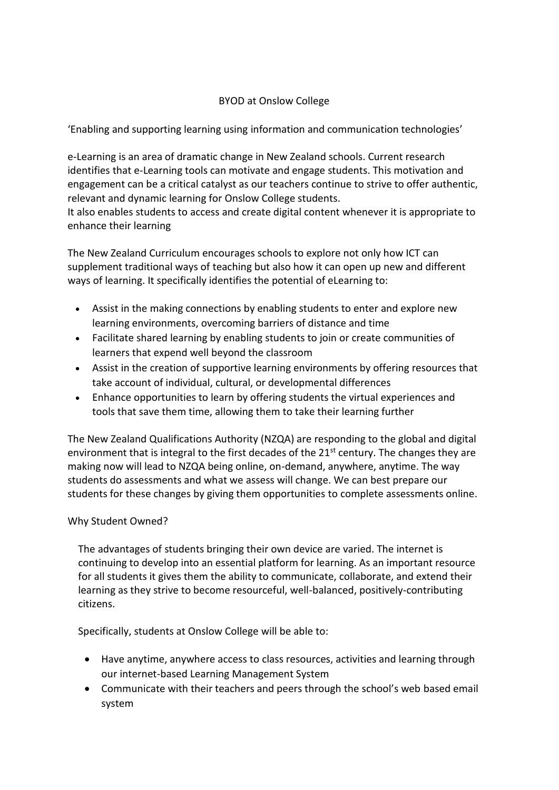# BYOD at Onslow College

'Enabling and supporting learning using information and communication technologies'

e-Learning is an area of dramatic change in New Zealand schools. Current research identifies that e-Learning tools can motivate and engage students. This motivation and engagement can be a critical catalyst as our teachers continue to strive to offer authentic, relevant and dynamic learning for Onslow College students.

It also enables students to access and create digital content whenever it is appropriate to enhance their learning

The New Zealand Curriculum encourages schools to explore not only how ICT can supplement traditional ways of teaching but also how it can open up new and different ways of learning. It specifically identifies the potential of eLearning to:

- Assist in the making connections by enabling students to enter and explore new learning environments, overcoming barriers of distance and time
- Facilitate shared learning by enabling students to join or create communities of learners that expend well beyond the classroom
- Assist in the creation of supportive learning environments by offering resources that take account of individual, cultural, or developmental differences
- Enhance opportunities to learn by offering students the virtual experiences and tools that save them time, allowing them to take their learning further

The New Zealand Qualifications Authority (NZQA) are responding to the global and digital environment that is integral to the first decades of the 21<sup>st</sup> century. The changes they are making now will lead to NZQA being online, on-demand, anywhere, anytime. The way students do assessments and what we assess will change. We can best prepare our students for these changes by giving them opportunities to complete assessments online.

## Why Student Owned?

The advantages of students bringing their own device are varied. The internet is continuing to develop into an essential platform for learning. As an important resource for all students it gives them the ability to communicate, collaborate, and extend their learning as they strive to become resourceful, well-balanced, positively-contributing citizens.

Specifically, students at Onslow College will be able to:

- Have anytime, anywhere access to class resources, activities and learning through our internet-based Learning Management System
- Communicate with their teachers and peers through the school's web based email system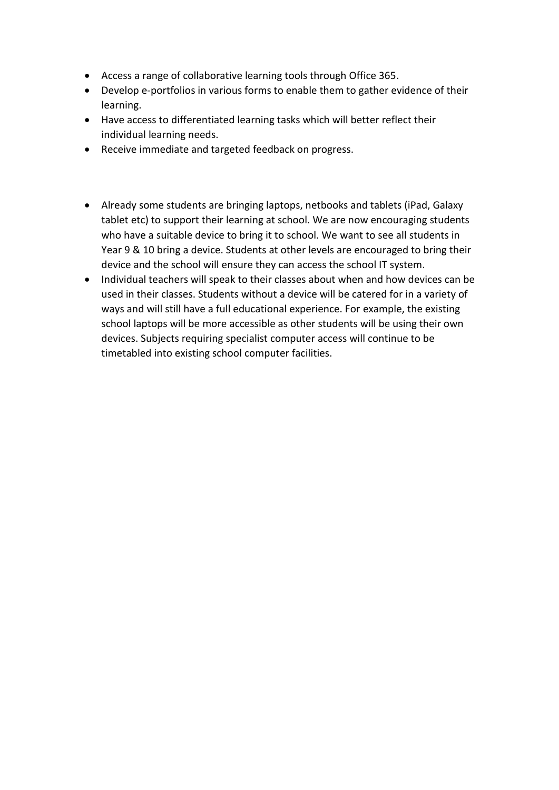- Access a range of collaborative learning tools through Office 365.
- Develop e-portfolios in various forms to enable them to gather evidence of their learning.
- Have access to differentiated learning tasks which will better reflect their individual learning needs.
- Receive immediate and targeted feedback on progress.
- Already some students are bringing laptops, netbooks and tablets (iPad, Galaxy tablet etc) to support their learning at school. We are now encouraging students who have a suitable device to bring it to school. We want to see all students in Year 9 & 10 bring a device. Students at other levels are encouraged to bring their device and the school will ensure they can access the school IT system.
- Individual teachers will speak to their classes about when and how devices can be used in their classes. Students without a device will be catered for in a variety of ways and will still have a full educational experience. For example, the existing school laptops will be more accessible as other students will be using their own devices. Subjects requiring specialist computer access will continue to be timetabled into existing school computer facilities.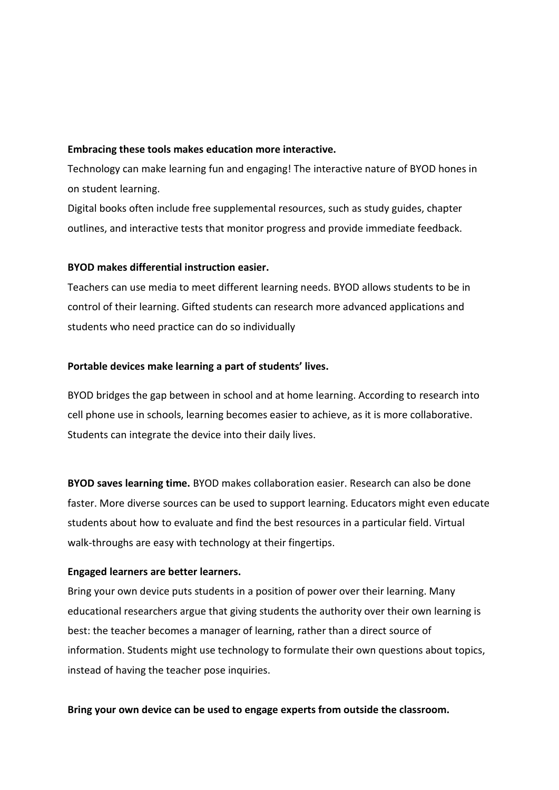#### **Embracing these tools makes education more interactive.**

Technology can make learning fun and engaging! The interactive nature of BYOD hones in on student learning.

Digital books often include free supplemental resources, such as study guides, chapter outlines, and interactive tests that monitor progress and provide immediate feedback.

### **BYOD makes differential instruction easier.**

Teachers can use media to meet different learning needs. BYOD allows students to be in control of their learning. Gifted students can research more advanced applications and students who need practice can do so individually

### **Portable devices make learning a part of students' lives.**

BYOD bridges the gap between in school and at home learning. According to research into cell phone use in schools, learning becomes easier to achieve, as it is more collaborative. Students can integrate the device into their daily lives.

**BYOD saves learning time.** BYOD makes collaboration easier. Research can also be done faster. More diverse sources can be used to support learning. Educators might even educate students about how to evaluate and find the best resources in a particular field. Virtual walk-throughs are easy with technology at their fingertips.

## **Engaged learners are better learners.**

Bring your own device puts students in a position of power over their learning. Many educational researchers argue that giving students the authority over their own learning is best: the teacher becomes a manager of learning, rather than a direct source of information. Students might use technology to formulate their own questions about topics, instead of having the teacher pose inquiries.

### **Bring your own device can be used to engage experts from outside the classroom.**